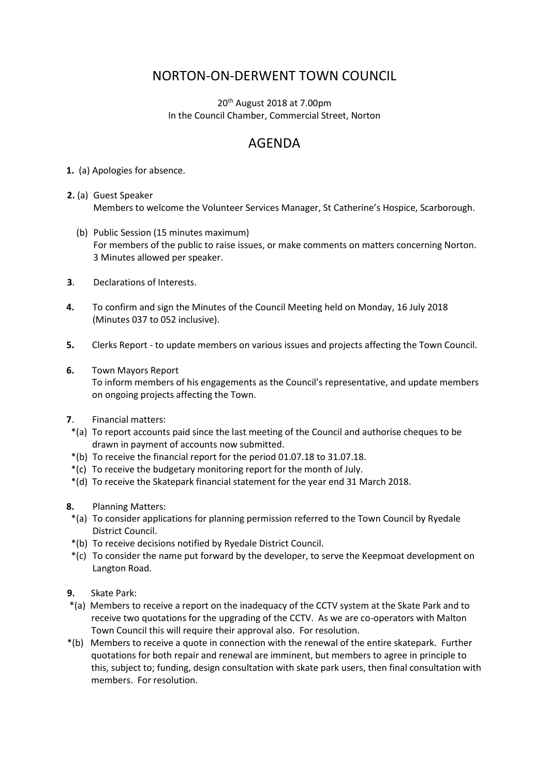## NORTON-ON-DERWENT TOWN COUNCIL

 $20<sup>th</sup>$  August 2018 at 7.00pm In the Council Chamber, Commercial Street, Norton

## AGENDA

**1.** (a) Apologies for absence.

- **2.** (a) Guest Speaker Members to welcome the Volunteer Services Manager, St Catherine's Hospice, Scarborough.
	- (b) Public Session (15 minutes maximum) For members of the public to raise issues, or make comments on matters concerning Norton. 3 Minutes allowed per speaker.
- **3**. Declarations of Interests.
- **4.** To confirm and sign the Minutes of the Council Meeting held on Monday, 16 July 2018 (Minutes 037 to 052 inclusive).
- **5.** Clerks Report to update members on various issues and projects affecting the Town Council.
- **6.** Town Mayors Report

 To inform members of his engagements as the Council's representative, and update members on ongoing projects affecting the Town.

- **7**. Financial matters:
- \*(a) To report accounts paid since the last meeting of the Council and authorise cheques to be drawn in payment of accounts now submitted.
- \*(b) To receive the financial report for the period 01.07.18 to 31.07.18.
- \*(c) To receive the budgetary monitoring report for the month of July.
- \*(d) To receive the Skatepark financial statement for the year end 31 March 2018.
- **8.** Planning Matters:
- \*(a) To consider applications for planning permission referred to the Town Council by Ryedale District Council.
- \*(b) To receive decisions notified by Ryedale District Council.
- \*(c) To consider the name put forward by the developer, to serve the Keepmoat development on Langton Road.
- **9.** Skate Park:
- \*(a)Members to receive a report on the inadequacy of the CCTV system at the Skate Park and to receive two quotations for the upgrading of the CCTV. As we are co-operators with Malton Town Council this will require their approval also. For resolution.
- \*(b)Members to receive a quote in connection with the renewal of the entire skatepark. Further quotations for both repair and renewal are imminent, but members to agree in principle to this, subject to; funding, design consultation with skate park users, then final consultation with members. For resolution.